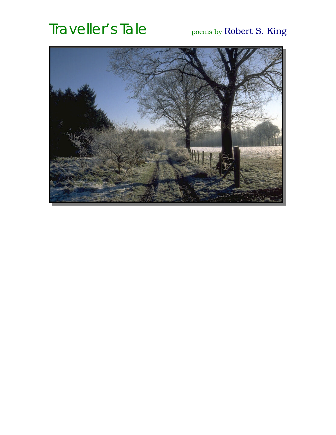# Traveller's Tale poems by Robert S. King

<span id="page-0-0"></span>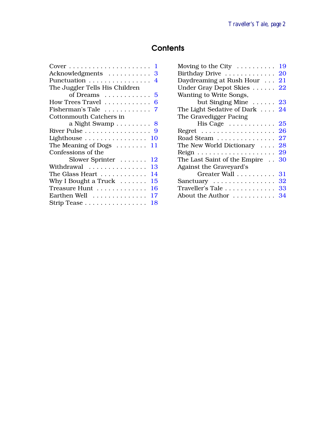# **Contents**

| Moving to the City                    | 19 |
|---------------------------------------|----|
| Birthday Drive                        | 20 |
| Daydreaming at Rush Hour              | 21 |
| Under Gray Depot Skies                | 22 |
| Wanting to Write Songs,               |    |
| but Singing Mine $\ldots$ . 23        |    |
| The Light Sedative of Dark 24         |    |
| The Gravedigger Pacing                |    |
| His Cage $\dots \dots \dots \dots 25$ |    |
|                                       | 26 |
| Road Steam                            | 27 |
| The New World Dictionary $\dots$      | 28 |
|                                       | 29 |
| The Last Saint of the Empire          | 30 |
| Against the Graveyard's               |    |
| Greater Wall                          | 31 |
| Sanctuary                             | 32 |
| Traveller's Tale                      | 33 |
| About the Author  34                  |    |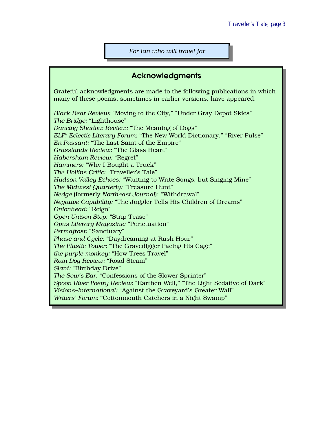*For Ian who will travel far*

#### Acknowledgments

<span id="page-2-0"></span>Grateful acknowledgments are made to the following publications in which many of these poems, sometimes in earlier versions, have appeared:

*Black Bear Review:* "Moving to the City," "Under Gray Depot Skies" *The Bridge:* "Lighthouse" *Dancing Shadow Review:* "The Meaning of Dogs" *ELF: Eclectic Literary Forum:* "The New World Dictionary," "River Pulse" *En Passant:* "The Last Saint of the Empire" *Grasslands Review:* "The Glass Heart" *Habersham Review:* "Regret" *Hammers:* "Why I Bought a Truck" *The Hollins Critic:* "Traveller's Tale" *Hudson Valley Echoes:* "Wanting to Write Songs, but Singing Mine" *The Midwest Quarterly:* "Treasure Hunt" *Nedge* (formerly *Northeast Journal*): "Withdrawal" *Negative Capability:* "The Juggler Tells His Children of Dreams" *Onionhead:* "Reign" *Open Unison Stop:* "Strip Tease" *Opus Literary Magazine:* "Punctuation" *Permafrost:* "Sanctuary" *Phase and Cycle:* "Daydreaming at Rush Hour" *The Plastic Tower:* "The Gravedigger Pacing His Cage" *the purple monkey:* "How Trees Travel" *Rain Dog Review:* "Road Steam" *Slant:* "Birthday Drive" *The Sow's Ear:* "Confessions of the Slower Sprinter" *Spoon River Poetry Review:* "Earthen Well," "The Light Sedative of Dark" *Visions–International:* "Against the Graveyard's Greater Wall" *Writers' Forum:* "Cottonmouth Catchers in a Night Swamp"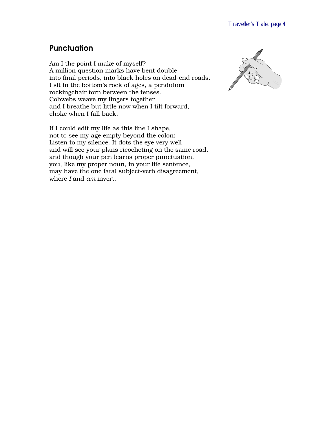#### <span id="page-3-0"></span>**Punctuation**

Am I the point I make of myself? A million question marks have bent double into final periods, into black holes on dead-end roads. I sit in the bottom's rock of ages, a pendulum rockingchair torn between the tenses. Cobwebs weave my fingers together and I breathe but little now when I tilt forward, choke when I fall back.



If I could edit my life as this line I shape, not to see my age empty beyond the colon: Listen to my silence. It dots the eye very well and will see your plans ricocheting on the same road, and though your pen learns proper punctuation, you, like my proper noun, in your life sentence, may have the one fatal subject-verb disagreement, where *I* and *am* invert.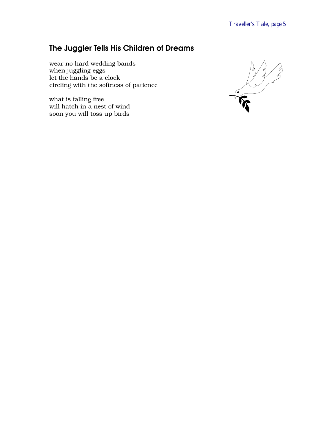# <span id="page-4-0"></span>The Juggler Tells His Children of Dreams

wear no hard wedding bands when juggling eggs let the hands be a clock circling with the softness of patience

what is falling free will hatch in a nest of wind soon you will toss up birds

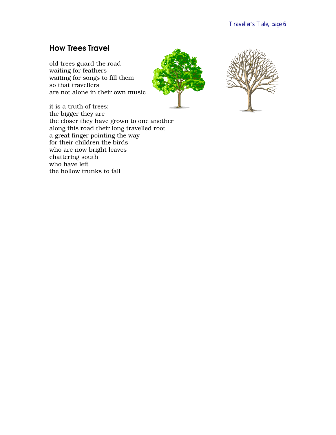#### <span id="page-5-0"></span>How Trees Travel

old trees guard the road waiting for feathers waiting for songs to fill them so that travellers are not alone in their own music





it is a truth of trees: the bigger they are the closer they have grown to one another along this road their long travelled root a great finger pointing the way for their children the birds who are now bright leaves chattering south who have left the hollow trunks to fall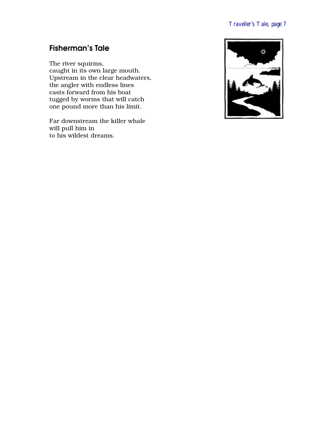# <span id="page-6-0"></span>Fisherman's Tale

The river squirms, caught in its own large mouth.

Upstream in the clear headwaters, the angler with endless lines casts forward from his boat tugged by worms that will catch one pound more than his limit.

Far downstream the killer whale will pull him in to his wildest dreams.

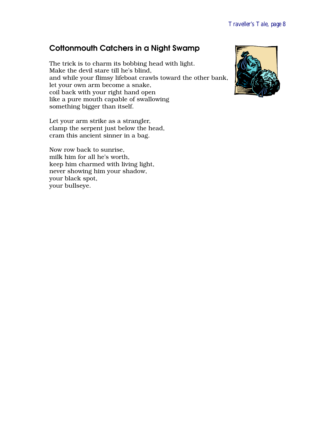#### <span id="page-7-0"></span>Cottonmouth Catchers in a Night Swamp

The trick is to charm its bobbing head with light. Make the devil stare till he's blind, and while your flimsy lifeboat crawls toward the other bank, let your own arm become a snake, coil back with your right hand open like a pure mouth capable of swallowing something bigger than itself.

Let your arm strike as a strangler, clamp the serpent just below the head, cram this ancient sinner in a bag.

Now row back to sunrise, milk him for all he's worth, keep him charmed with living light, never showing him your shadow, your black spot, your bullseye.

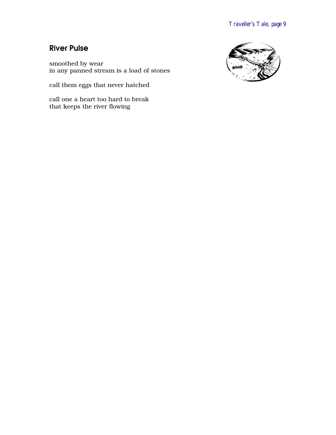#### <span id="page-8-0"></span>River Pulse

smoothed by wear in any panned stream is a load of stones

call them eggs that never hatched

call one a heart too hard to break that keeps the river flowing

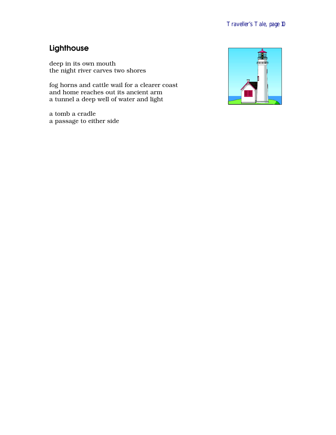# <span id="page-9-0"></span>Lighthouse

deep in its own mouth the night river carves two shores

fog horns and cattle wail for a clearer coast and home reaches out its ancient arm a tunnel a deep well of water and light

a tomb a cradle a passage to either side

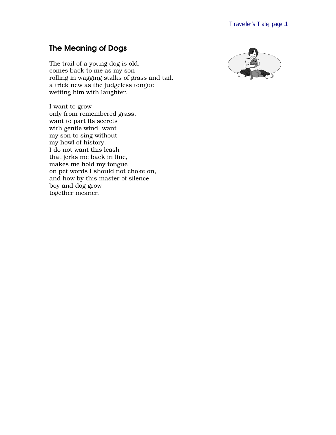# <span id="page-10-0"></span>The Meaning of Dogs

The trail of a young dog is old, comes back to me as my son rolling in wagging stalks of grass and tail, a trick new as the judgeless tongue wetting him with laughter.

I want to grow only from remembered grass, want to part its secrets with gentle wind, want my son to sing without my howl of history. I do not want this leash that jerks me back in line, makes me hold my tongue on pet words I should not choke on, and how by this master of silence boy and dog grow together meaner.

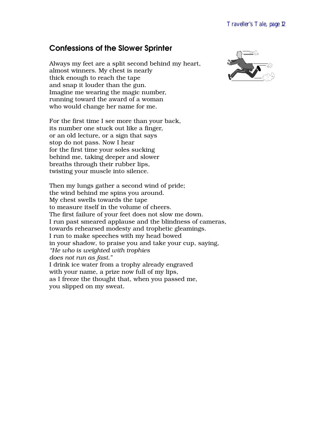#### <span id="page-11-0"></span>Confessions of the Slower Sprinter

Always my feet are a split second behind my heart, almost winners. My chest is nearly thick enough to reach the tape and snap it louder than the gun. Imagine me wearing the magic number, running toward the award of a woman who would change her name for me.

For the first time I see more than your back, its number one stuck out like a finger, or an old lecture, or a sign that says stop do not pass. Now I hear for the first time your soles sucking behind me, taking deeper and slower breaths through their rubber lips, twisting your muscle into silence.

Then my lungs gather a second wind of pride; the wind behind me spins you around. My chest swells towards the tape to measure itself in the volume of cheers. The first failure of your feet does not slow me down. I run past smeared applause and the blindness of cameras, towards rehearsed modesty and trophetic gleamings. I run to make speeches with my head bowed in your shadow, to praise you and take your cup, saying, *"He who is weighted with trophies does not run as fast."* I drink ice water from a trophy already engraved with your name, a prize now full of my lips, as I freeze the thought that, when you passed me, you slipped on my sweat.

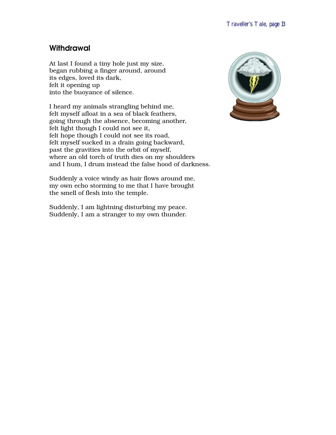#### <span id="page-12-0"></span>**Withdrawal**

At last I found a tiny hole just my size, began rubbing a finger around, around its edges, loved its dark, felt it opening up into the buoyance of silence.

I heard my animals strangling behind me, felt myself afloat in a sea of black feathers, going through the absence, becoming another, felt light though I could not see it, felt hope though I could not see its road, felt myself sucked in a drain going backward, past the gravities into the orbit of myself, where an old torch of truth dies on my shoulders and I hum, I drum instead the false hood of darkness.

Suddenly a voice windy as hair flows around me, my own echo storming to me that I have brought the smell of flesh into the temple.

Suddenly, I am lightning disturbing my peace. Suddenly, I am a stranger to my own thunder.

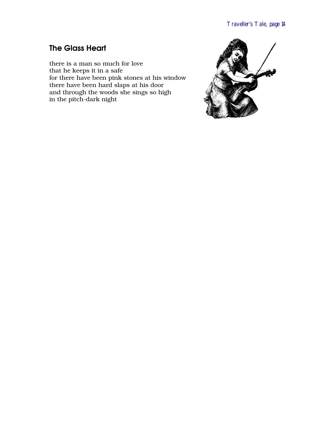# <span id="page-13-0"></span>The Glass Heart

there is a man so much for love that he keeps it in a safe for there have been pink stones at his window there have been hard slaps at his door and through the woods she sings so high in the pitch-dark night

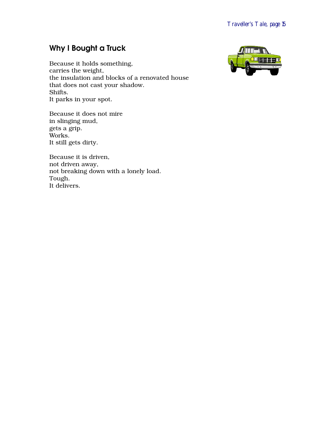# <span id="page-14-0"></span>Why I Bought a Truck

Because it holds something, carries the weight, the insulation and blocks of a renovated house that does not cast your shadow. Shifts. It parks in your spot.

Because it does not mire in slinging mud, gets a grip. Works. It still gets dirty.

Because it is driven, not driven away, not breaking down with a lonely load. Tough. It delivers.

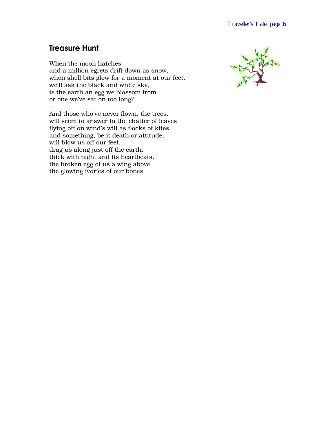# <span id="page-15-0"></span>Treasure Hunt

When the moon hatches and a million egrets drift down as snow, when shell bits glow for a moment at our feet, we'll ask the black and white sky, is the earth an egg we blossom from or one we've sat on too long?

And those who've never flown, the trees, will seem to answer in the chatter of leaves flying off on wind's will as flocks of kites, and something, be it death or attitude, will blow us off our feet, drag us along just off the earth, thick with night and its heartbeats, the broken egg of us a wing above the glowing ivories of our bones

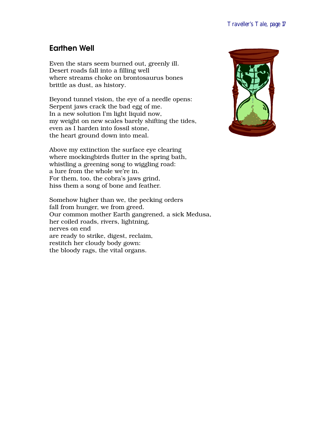#### <span id="page-16-0"></span>Earthen Well

Even the stars seem burned out, greenly ill. Desert roads fall into a filling well where streams choke on brontosaurus bones brittle as dust, as history.

Beyond tunnel vision, the eye of a needle opens: Serpent jaws crack the bad egg of me. In a new solution I'm light liquid now, my weight on new scales barely shifting the tides, even as I harden into fossil stone, the heart ground down into meal.

Above my extinction the surface eye clearing where mockingbirds flutter in the spring bath, whistling a greening song to wiggling road: a lure from the whole we're in. For them, too, the cobra's jaws grind, hiss them a song of bone and feather.

Somehow higher than we, the pecking orders fall from hunger, we from greed. Our common mother Earth gangrened, a sick Medusa, her coiled roads, rivers, lightning, nerves on end are ready to strike, digest, reclaim, restitch her cloudy body gown: the bloody rags, the vital organs.

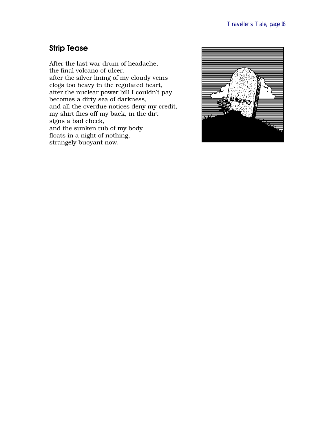#### <span id="page-17-0"></span>Strip Tease

After the last war drum of headache, the final volcano of ulcer, after the silver lining of my cloudy veins clogs too heavy in the regulated heart, after the nuclear power bill I couldn't pay becomes a dirty sea of darkness, and all the overdue notices deny my credit, my shirt flies off my back, in the dirt signs a bad check, and the sunken tub of my body floats in a night of nothing, strangely buoyant now.

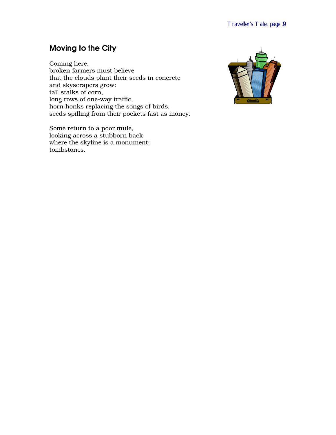# <span id="page-18-0"></span>Moving to the City

Coming here, broken farmers must believe that the clouds plant their seeds in concrete and skyscrapers grow: tall stalks of corn, long rows of one-way traffic, horn honks replacing the songs of birds, seeds spilling from their pockets fast as money.

Some return to a poor mule, looking across a stubborn back where the skyline is a monument: tombstones.

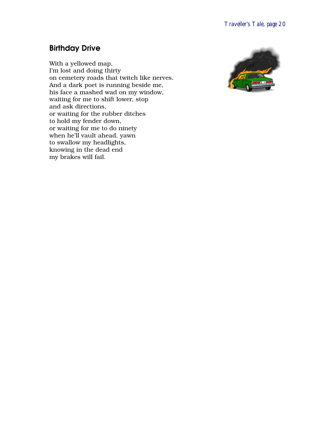#### <span id="page-19-0"></span>Birthday Drive

With a yellowed map, I'm lost and doing thirty on cemetery roads that twitch like nerves. And a dark poet is running beside me, his face a mashed wad on my window, waiting for me to shift lower, stop and ask directions, or waiting for the rubber ditches to hold my fender down, or waiting for me to do ninety when he'll vault ahead, yawn to swallow my headlights, knowing in the dead end my brakes will fail.

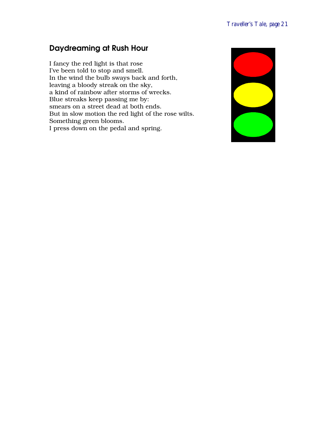# <span id="page-20-0"></span>Daydreaming at Rush Hour

I fancy the red light is that rose I've been told to stop and smell. In the wind the bulb sways back and forth, leaving a bloody streak on the sky, a kind of rainbow after storms of wrecks. Blue streaks keep passing me by: smears on a street dead at both ends. But in slow motion the red light of the rose wilts. Something green blooms. I press down on the pedal and spring.

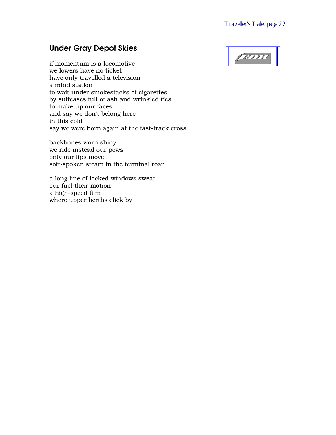#### <span id="page-21-0"></span>Under Gray Depot Skies

 $|$   $\rho$   $\rho$   $\rho$ 

if momentum is a locomotive we lowers have no ticket have only travelled a television a mind station to wait under smokestacks of cigarettes by suitcases full of ash and wrinkled ties to make up our faces and say we don't belong here in this cold say we were born again at the fast-track cross

backbones worn shiny we ride instead our pews only our lips move soft-spoken steam in the terminal roar

a long line of locked windows sweat our fuel their motion a high-speed film where upper berths click by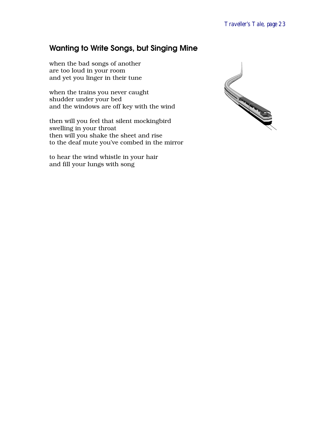# <span id="page-22-0"></span>Wanting to Write Songs, but Singing Mine

when the bad songs of another are too loud in your room and yet you linger in their tune

when the trains you never caught shudder under your bed and the windows are off key with the wind

then will you feel that silent mockingbird swelling in your throat then will you shake the sheet and rise to the deaf mute you've combed in the mirror

to hear the wind whistle in your hair and fill your lungs with song

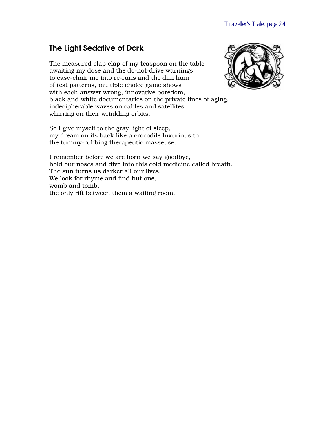#### <span id="page-23-0"></span>The Light Sedative of Dark

The measured clap clap of my teaspoon on the table awaiting my dose and the do-not-drive warnings to easy-chair me into re-runs and the dim hum of test patterns, multiple choice game shows with each answer wrong, innovative boredom, black and white documentaries on the private lines of aging, indecipherable waves on cables and satellites whirring on their wrinkling orbits.

So I give myself to the gray light of sleep, my dream on its back like a crocodile luxurious to the tummy-rubbing therapeutic masseuse.

I remember before we are born we say goodbye, hold our noses and dive into this cold medicine called breath. The sun turns us darker all our lives. We look for rhyme and find but one, womb and tomb, the only rift between them a waiting room.

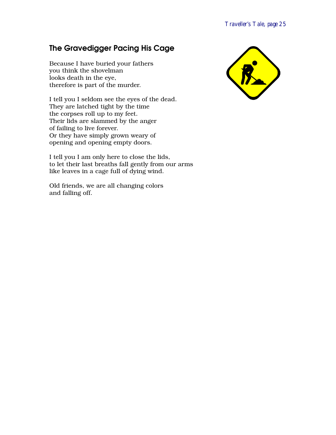# <span id="page-24-0"></span>The Gravedigger Pacing His Cage

Because I have buried your fathers you think the shovelman looks death in the eye, therefore is part of the murder.

I tell you I seldom see the eyes of the dead. They are latched tight by the time the corpses roll up to my feet. Their lids are slammed by the anger of failing to live forever. Or they have simply grown weary of opening and opening empty doors.

I tell you I am only here to close the lids, to let their last breaths fall gently from our arms like leaves in a cage full of dying wind.

Old friends, we are all changing colors and falling off.

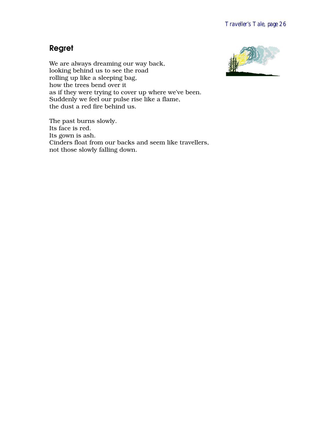#### <span id="page-25-0"></span>Regret

We are always dreaming our way back, looking behind us to see the road rolling up like a sleeping bag, how the trees bend over it as if they were trying to cover up where we've been. Suddenly we feel our pulse rise like a flame, the dust a red fire behind us.

The past burns slowly. Its face is red. Its gown is ash. Cinders float from our backs and seem like travellers, not those slowly falling down.

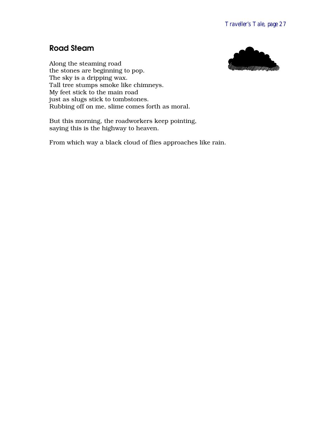#### <span id="page-26-0"></span>Road Steam



Along the steaming road the stones are beginning to pop. The sky is a dripping wax. Tall tree stumps smoke like chimneys. My feet stick to the main road just as slugs stick to tombstones. Rubbing off on me, slime comes forth as moral.

But this morning, the roadworkers keep pointing, saying this is the highway to heaven.

From which way a black cloud of flies approaches like rain.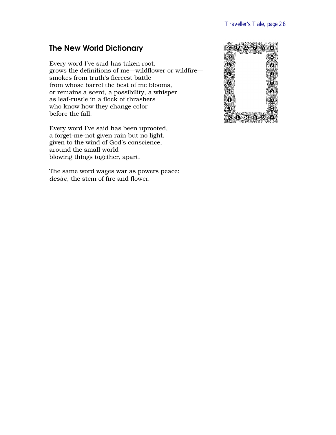#### <span id="page-27-0"></span>The New World Dictionary

Every word I've said has taken root, grows the definitions of me—wildflower or wildfire smokes from truth's fiercest battle from whose barrel the best of me blooms, or remains a scent, a possibility, a whisper as leaf-rustle in a flock of thrashers who know how they change color before the fall.

Every word I've said has been uprooted, a forget-me-not given rain but no light, given to the wind of God's conscience, around the small world blowing things together, apart.

The same word wages war as powers peace: *desire,* the stem of fire and flower.

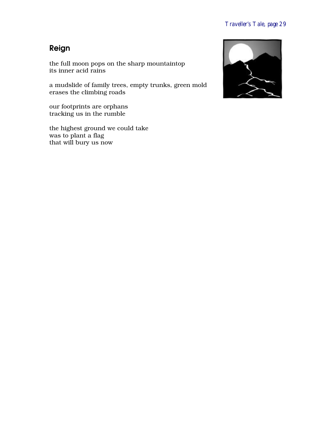# <span id="page-28-0"></span>Reign

the full moon pops on the sharp mountaintop its inner acid rains

a mudslide of family trees, empty trunks, green mold erases the climbing roads

our footprints are orphans tracking us in the rumble

the highest ground we could take was to plant a flag that will bury us now

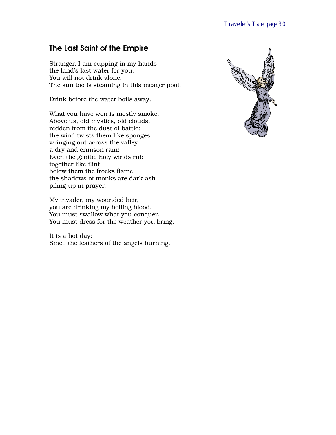#### <span id="page-29-0"></span>The Last Saint of the Empire

Stranger, I am cupping in my hands the land's last water for you. You will not drink alone. The sun too is steaming in this meager pool.

Drink before the water boils away.

What you have won is mostly smoke: Above us, old mystics, old clouds, redden from the dust of battle: the wind twists them like sponges, wringing out across the valley a dry and crimson rain: Even the gentle, holy winds rub together like flint: below them the frocks flame: the shadows of monks are dark ash piling up in prayer.

My invader, my wounded heir, you are drinking my boiling blood. You must swallow what you conquer. You must dress for the weather you bring.

It is a hot day: Smell the feathers of the angels burning.

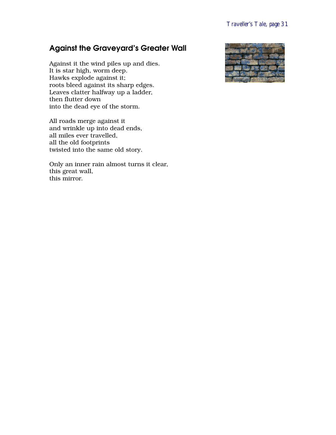# <span id="page-30-0"></span>Against the Graveyard's Greater Wall

Against it the wind piles up and dies. It is star high, worm deep. Hawks explode against it; roots bleed against its sharp edges. Leaves clatter halfway up a ladder, then flutter down into the dead eye of the storm.

All roads merge against it and wrinkle up into dead ends, all miles ever travelled, all the old footprints twisted into the same old story.

Only an inner rain almost turns it clear, this great wall, this mirror.

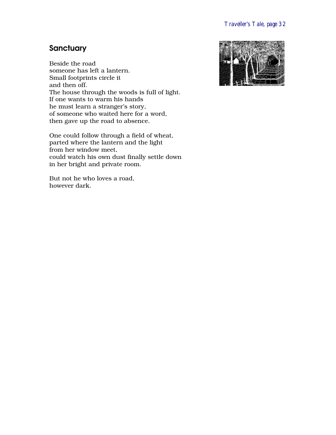# <span id="page-31-0"></span>**Sanctuary**

Beside the road someone has left a lantern. Small footprints circle it and then off. The house through the woods is full of light. If one wants to warm his hands he must learn a stranger's story, of someone who waited here for a word, then gave up the road to absence.

One could follow through a field of wheat, parted where the lantern and the light from her window meet, could watch his own dust finally settle down in her bright and private room.

But not he who loves a road, however dark.

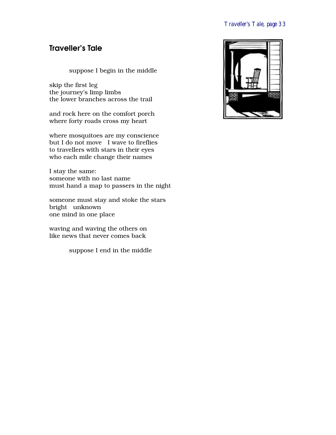#### <span id="page-32-0"></span>Traveller's Tale

suppose I begin in the middle

skip the first leg the journey's limp limbs the lower branches across the trail

and rock here on the comfort porch where forty roads cross my heart

where mosquitoes are my conscience but I do not move I wave to fireflies to travellers with stars in their eyes who each mile change their names

I stay the same: someone with no last name must hand a map to passers in the night

someone must stay and stoke the stars bright unknown one mind in one place

waving and waving the others on like news that never comes back

suppose I end in the middle